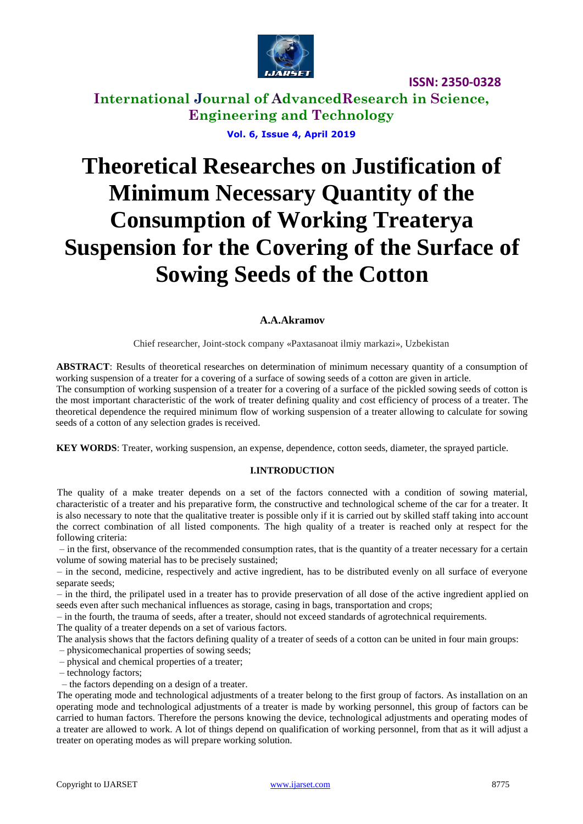

**ISSN: 2350-0328**

**International Journal of AdvancedResearch in Science, Engineering and Technology Vol. 6, Issue 4, April 2019**

# **Theoretical Researches on Justification of Minimum Necessary Quantity of the Consumption of Working Treaterya Suspension for the Covering of the Surface of Sowing Seeds of the Cotton**

## **A.A.Akramov**

Chief researcher, Joint-stock company «Paxtasanoat ilmiy markazi», Uzbekistan

**ABSTRACT**: Results of theoretical researches on determination of minimum necessary quantity of a consumption of working suspension of a treater for a covering of a surface of sowing seeds of a cotton are given in article. The consumption of working suspension of a treater for a covering of a surface of the pickled sowing seeds of cotton is

the most important characteristic of the work of treater defining quality and cost efficiency of process of a treater. The theoretical dependence the required minimum flow of working suspension of a treater allowing to calculate for sowing seeds of a cotton of any selection grades is received.

**KEY WORDS**: Treater, working suspension, an expense, dependence, cotton seeds, diameter, the sprayed particle.

#### **I.INTRODUCTION**

The quality of a make treater depends on a set of the factors connected with a condition of sowing material, characteristic of a treater and his preparative form, the constructive and technological scheme of the car for a treater. It is also necessary to note that the qualitative treater is possible only if it is carried out by skilled staff taking into account the correct combination of all listed components. The high quality of a treater is reached only at respect for the following criteria:

– in the first, observance of the recommended consumption rates, that is the quantity of a treater necessary for a certain volume of sowing material has to be precisely sustained;

– in the second, medicine, respectively and active ingredient, has to be distributed evenly on all surface of everyone separate seeds;

– in the third, the prilipatel used in a treater has to provide preservation of all dose of the active ingredient applied on seeds even after such mechanical influences as storage, casing in bags, transportation and crops;

– in the fourth, the trauma of seeds, after a treater, should not exceed standards of agrotechnical requirements.

The quality of a treater depends on a set of various factors.

The analysis shows that the factors defining quality of a treater of seeds of a cotton can be united in four main groups:

– physicomechanical properties of sowing seeds;

– physical and chemical properties of a treater;

– technology factors;

– the factors depending on a design of a treater.

The operating mode and technological adjustments of a treater belong to the first group of factors. As installation on an operating mode and technological adjustments of a treater is made by working personnel, this group of factors can be carried to human factors. Therefore the persons knowing the device, technological adjustments and operating modes of a treater are allowed to work. A lot of things depend on qualification of working personnel, from that as it will adjust a treater on operating modes as will prepare working solution.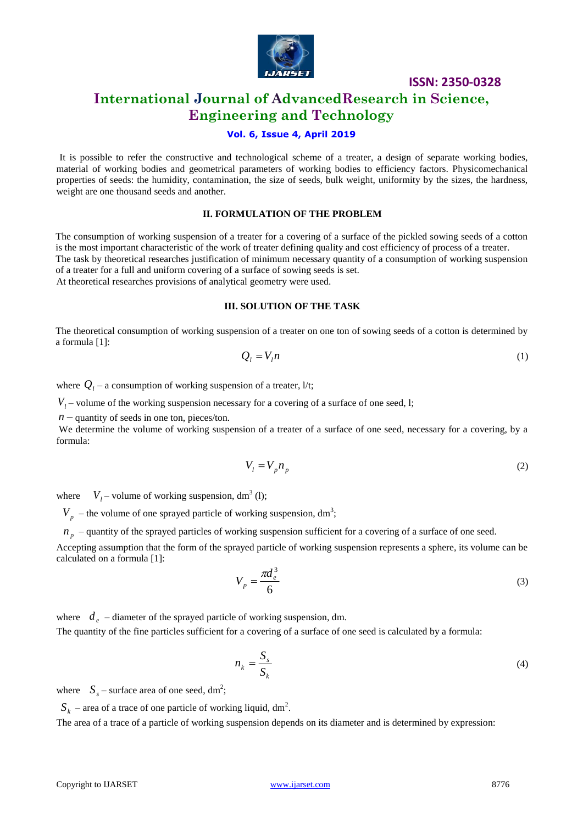

**ISSN: 2350-0328**

## **International Journal of AdvancedResearch in Science, Engineering and Technology**

## **Vol. 6, Issue 4, April 2019**

It is possible to refer the constructive and technological scheme of a treater, a design of separate working bodies, material of working bodies and geometrical parameters of working bodies to efficiency factors. Physicomechanical properties of seeds: the humidity, contamination, the size of seeds, bulk weight, uniformity by the sizes, the hardness, weight are one thousand seeds and another.

#### **II. FORMULATION OF THE PROBLEM**

The consumption of working suspension of a treater for a covering of a surface of the pickled sowing seeds of a cotton is the most important characteristic of the work of treater defining quality and cost efficiency of process of a treater. The task by theoretical researches justification of minimum necessary quantity of a consumption of working suspension of a treater for a full and uniform covering of a surface of sowing seeds is set. At theoretical researches provisions of analytical geometry were used.

## **III. SOLUTION OF THE TASK**

The theoretical consumption of working suspension of a treater on one ton of sowing seeds of a cotton is determined by a formula [1]:

$$
Q_l = V_l n \tag{1}
$$

where  $Q_l$  – a consumption of working suspension of a treater,  $1/t$ ;

 $V_l$  – volume of the working suspension necessary for a covering of a surface of one seed, 1;

 $n$  – quantity of seeds in one ton, pieces/ton.

We determine the volume of working suspension of a treater of a surface of one seed, necessary for a covering, by a formula:

$$
V_l = V_p n_p \tag{2}
$$

where  $V_l$  – volume of working suspension, dm<sup>3</sup> (l);

 $V_p$  – the volume of one sprayed particle of working suspension, dm<sup>3</sup>;

 $p_n$  – quantity of the sprayed particles of working suspension sufficient for a covering of a surface of one seed.

Accepting assumption that the form of the sprayed particle of working suspension represents a sphere, its volume can be calculated on a formula [1]:

$$
V_p = \frac{\pi d_e^3}{6} \tag{3}
$$

where  $d_e$  – diameter of the sprayed particle of working suspension, dm.

The quantity of the fine particles sufficient for a covering of a surface of one seed is calculated by a formula:

$$
n_k = \frac{S_s}{S_k} \tag{4}
$$

where  $S_s$  – surface area of one seed, dm<sup>2</sup>;

 $S_k$  – area of a trace of one particle of working liquid, dm<sup>2</sup>.

The area of a trace of a particle of working suspension depends on its diameter and is determined by expression: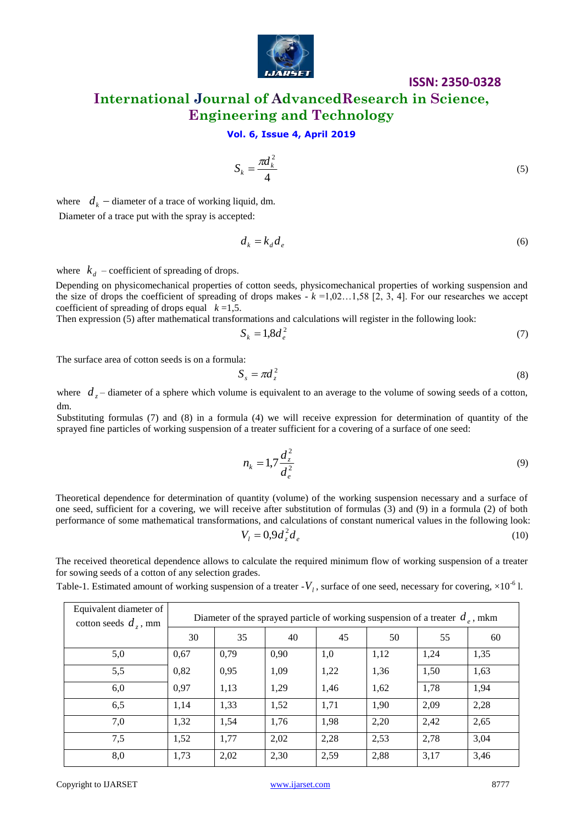

## **ISSN: 2350-0328**

## **International Journal of AdvancedResearch in Science, Engineering and Technology**

## **Vol. 6, Issue 4, April 2019**

$$
S_k = \frac{\pi d_k^2}{4} \tag{5}
$$

where  $d_k$  – diameter of a trace of working liquid, dm. Diameter of a trace put with the spray is accepted:

$$
d_k = k_d d_e \tag{6}
$$

where  $k_d$  – coefficient of spreading of drops.

Depending on physicomechanical properties of cotton seeds, physicomechanical properties of working suspension and the size of drops the coefficient of spreading of drops makes  $-k = 1,02...1,58$  [2, 3, 4]. For our researches we accept coefficient of spreading of drops equal  $k = 1.5$ .

Then expression (5) after mathematical transformations and calculations will register in the following look:

$$
S_k = 1.8d_e^2 \tag{7}
$$

The surface area of cotton seeds is on a formula:

$$
S_s = \pi d_z^2 \tag{8}
$$

where  $d_z$  – diameter of a sphere which volume is equivalent to an average to the volume of sowing seeds of a cotton, dm.

Substituting formulas (7) and (8) in a formula (4) we will receive expression for determination of quantity of the sprayed fine particles of working suspension of a treater sufficient for a covering of a surface of one seed:

$$
n_k = 1,7 \frac{d_z^2}{d_e^2} \tag{9}
$$

Theoretical dependence for determination of quantity (volume) of the working suspension necessary and a surface of one seed, sufficient for a covering, we will receive after substitution of formulas (3) and (9) in a formula (2) of both performance of some mathematical transformations, and calculations of constant numerical values in the following look: 2

$$
V_l = 0.9d_z^2 d_e \tag{10}
$$

The received theoretical dependence allows to calculate the required minimum flow of working suspension of a treater for sowing seeds of a cotton of any selection grades.

Table-1. Estimated amount of working suspension of a treater  $-V<sub>l</sub>$ , surface of one seed, necessary for covering,  $\times 10^{-6}$  l.

| Equivalent diameter of<br>cotton seeds $d_z$ , mm | Diameter of the sprayed particle of working suspension of a treater $d_e$ , mkm |      |      |      |      |      |      |
|---------------------------------------------------|---------------------------------------------------------------------------------|------|------|------|------|------|------|
|                                                   | 30                                                                              | 35   | 40   | 45   | 50   | 55   | 60   |
| 5,0                                               | 0,67                                                                            | 0,79 | 0,90 | 1,0  | 1,12 | 1,24 | 1,35 |
| 5,5                                               | 0,82                                                                            | 0,95 | 1,09 | 1,22 | 1,36 | 1,50 | 1,63 |
| 6,0                                               | 0,97                                                                            | 1,13 | 1,29 | 1,46 | 1,62 | 1,78 | 1,94 |
| 6,5                                               | 1,14                                                                            | 1,33 | 1,52 | 1,71 | 1,90 | 2,09 | 2,28 |
| 7,0                                               | 1,32                                                                            | 1,54 | 1,76 | 1,98 | 2,20 | 2,42 | 2,65 |
| 7,5                                               | 1,52                                                                            | 1,77 | 2,02 | 2,28 | 2,53 | 2,78 | 3,04 |
| 8,0                                               | 1,73                                                                            | 2,02 | 2,30 | 2,59 | 2,88 | 3,17 | 3,46 |